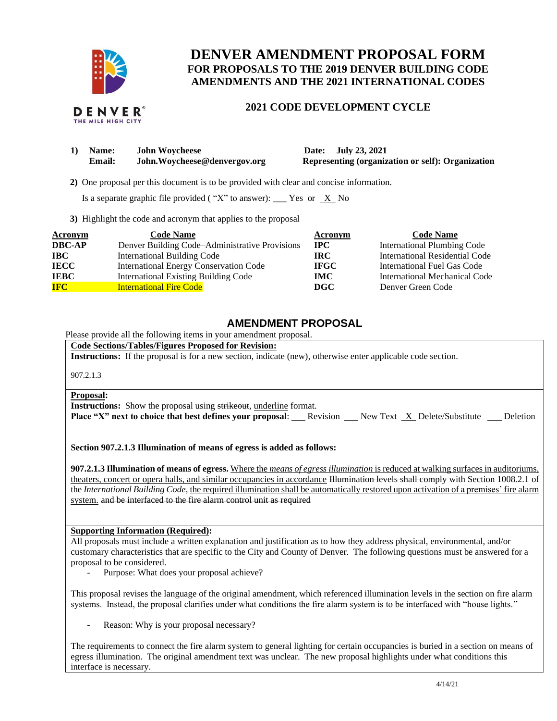

# **DENVER AMENDMENT PROPOSAL FORM FOR PROPOSALS TO THE 2019 DENVER BUILDING CODE AMENDMENTS AND THE 2021 INTERNATIONAL CODES**

## **2021 CODE DEVELOPMENT CYCLE**

| 1) | <b>Name:</b> | <b>John Woycheese</b>         |  |  |
|----|--------------|-------------------------------|--|--|
|    | Email:       | John. Wovcheese@denvergov.org |  |  |

**1) Date: July 23, 2021 Representing (organization or self): Organization** 

 **2)** One proposal per this document is to be provided with clear and concise information.

Is a separate graphic file provided ("X" to answer): \_\_\_ Yes or  $X$  No

**3)** Highlight the code and acronym that applies to the proposal

| <b>Acronym</b> | <b>Code Name</b>                               | Acronym      | <b>Code Name</b>                   |
|----------------|------------------------------------------------|--------------|------------------------------------|
| <b>DBC-AP</b>  | Denver Building Code–Administrative Provisions | $_{\rm IPC}$ | <b>International Plumbing Code</b> |
| <b>IBC</b>     | <b>International Building Code</b>             | IRC.         | International Residential Code     |
| <b>IECC</b>    | International Energy Conservation Code         | <b>IFGC</b>  | International Fuel Gas Code        |
| <b>IEBC</b>    | <b>International Existing Building Code</b>    | <b>IMC</b>   | International Mechanical Code      |
| <b>IFC</b>     | <b>International Fire Code</b>                 | <b>DGC</b>   | Denver Green Code                  |

## **AMENDMENT PROPOSAL**

Please provide all the following items in your amendment proposal.

**Code Sections/Tables/Figures Proposed for Revision:**

**Instructions:** If the proposal is for a new section, indicate (new), otherwise enter applicable code section.

907.2.1.3

#### **Proposal:**

**Instructions:** Show the proposal using strikeout, underline format.

**Place "X" next to choice that best defines your proposal:** Revision New Text X Delete/Substitute Deletion

**Section 907.2.1.3 Illumination of means of egress is added as follows:**

**907.2.1.3 Illumination of means of egress.** Where the *means of egress illumination* is reduced at walking surfaces in auditoriums, theaters, concert or opera halls, and similar occupancies in accordance Hlumination levels shall comply with Section 1008.2.1 of the *International Building Code*, the required illumination shall be automatically restored upon activation of a premises' fire alarm system. and be interfaced to the fire alarm control unit as required

## **Supporting Information (Required):**

All proposals must include a written explanation and justification as to how they address physical, environmental, and/or customary characteristics that are specific to the City and County of Denver. The following questions must be answered for a proposal to be considered.

Purpose: What does your proposal achieve?

This proposal revises the language of the original amendment, which referenced illumination levels in the section on fire alarm systems. Instead, the proposal clarifies under what conditions the fire alarm system is to be interfaced with "house lights."

Reason: Why is your proposal necessary?

The requirements to connect the fire alarm system to general lighting for certain occupancies is buried in a section on means of egress illumination. The original amendment text was unclear. The new proposal highlights under what conditions this interface is necessary.